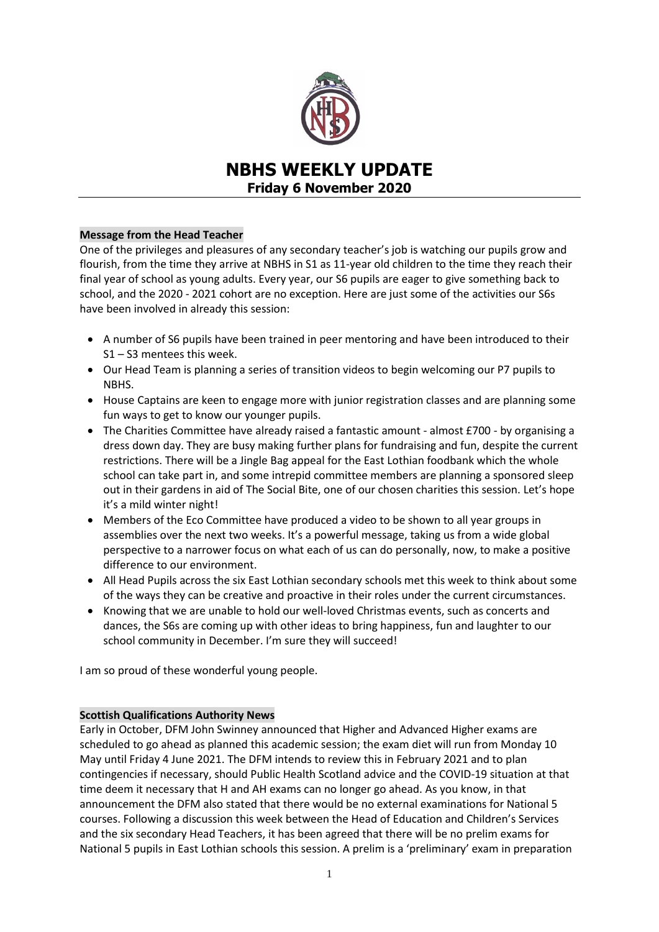

# **NBHS WEEKLY UPDATE Friday 6 November 2020**

### **Message from the Head Teacher**

One of the privileges and pleasures of any secondary teacher's job is watching our pupils grow and flourish, from the time they arrive at NBHS in S1 as 11-year old children to the time they reach their final year of school as young adults. Every year, our S6 pupils are eager to give something back to school, and the 2020 - 2021 cohort are no exception. Here are just some of the activities our S6s have been involved in already this session:

- A number of S6 pupils have been trained in peer mentoring and have been introduced to their S1 – S3 mentees this week.
- Our Head Team is planning a series of transition videos to begin welcoming our P7 pupils to NBHS.
- House Captains are keen to engage more with junior registration classes and are planning some fun ways to get to know our younger pupils.
- The Charities Committee have already raised a fantastic amount almost £700 by organising a dress down day. They are busy making further plans for fundraising and fun, despite the current restrictions. There will be a Jingle Bag appeal for the East Lothian foodbank which the whole school can take part in, and some intrepid committee members are planning a sponsored sleep out in their gardens in aid of The Social Bite, one of our chosen charities this session. Let's hope it's a mild winter night!
- Members of the Eco Committee have produced a video to be shown to all year groups in assemblies over the next two weeks. It's a powerful message, taking us from a wide global perspective to a narrower focus on what each of us can do personally, now, to make a positive difference to our environment.
- All Head Pupils across the six East Lothian secondary schools met this week to think about some of the ways they can be creative and proactive in their roles under the current circumstances.
- Knowing that we are unable to hold our well-loved Christmas events, such as concerts and dances, the S6s are coming up with other ideas to bring happiness, fun and laughter to our school community in December. I'm sure they will succeed!

I am so proud of these wonderful young people.

### **Scottish Qualifications Authority News**

Early in October, DFM John Swinney announced that Higher and Advanced Higher exams are scheduled to go ahead as planned this academic session; the exam diet will run from Monday 10 May until Friday 4 June 2021. The DFM intends to review this in February 2021 and to plan contingencies if necessary, should Public Health Scotland advice and the COVID-19 situation at that time deem it necessary that H and AH exams can no longer go ahead. As you know, in that announcement the DFM also stated that there would be no external examinations for National 5 courses. Following a discussion this week between the Head of Education and Children's Services and the six secondary Head Teachers, it has been agreed that there will be no prelim exams for National 5 pupils in East Lothian schools this session. A prelim is a 'preliminary' exam in preparation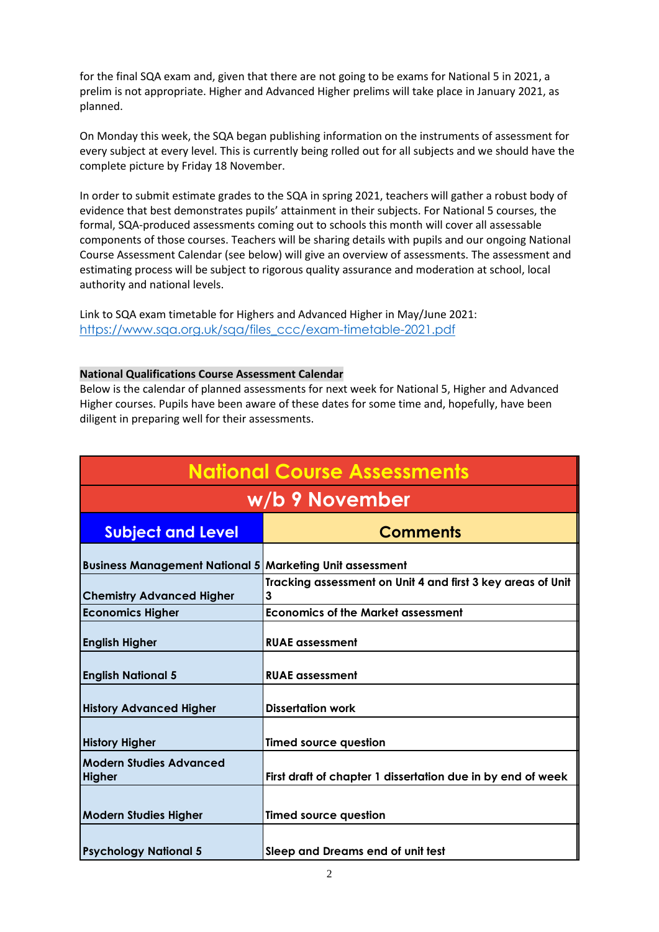for the final SQA exam and, given that there are not going to be exams for National 5 in 2021, a prelim is not appropriate. Higher and Advanced Higher prelims will take place in January 2021, as planned.

On Monday this week, the SQA began publishing information on the instruments of assessment for every subject at every level. This is currently being rolled out for all subjects and we should have the complete picture by Friday 18 November.

In order to submit estimate grades to the SQA in spring 2021, teachers will gather a robust body of evidence that best demonstrates pupils' attainment in their subjects. For National 5 courses, the formal, SQA-produced assessments coming out to schools this month will cover all assessable components of those courses. Teachers will be sharing details with pupils and our ongoing National Course Assessment Calendar (see below) will give an overview of assessments. The assessment and estimating process will be subject to rigorous quality assurance and moderation at school, local authority and national levels.

Link to SQA exam timetable for Highers and Advanced Higher in May/June 2021: [https://www.sqa.org.uk/sqa/files\\_ccc/exam-timetable-2021.pdf](https://www.sqa.org.uk/sqa/files_ccc/exam-timetable-2021.pdf)

### **National Qualifications Course Assessment Calendar**

Below is the calendar of planned assessments for next week for National 5, Higher and Advanced Higher courses. Pupils have been aware of these dates for some time and, hopefully, have been diligent in preparing well for their assessments.

| <b>National Course Assessments</b>              |                                                                  |
|-------------------------------------------------|------------------------------------------------------------------|
| w/b 9 November                                  |                                                                  |
| <b>Subject and Level</b>                        | <b>Comments</b>                                                  |
| <b>Business Management National 5</b>           | <b>Marketing Unit assessment</b>                                 |
| <b>Chemistry Advanced Higher</b>                | Tracking assessment on Unit 4 and first 3 key areas of Unit<br>3 |
| <b>Economics Higher</b>                         | <b>Economics of the Market assessment</b>                        |
| <b>English Higher</b>                           | <b>RUAE</b> assessment                                           |
| <b>English National 5</b>                       | <b>RUAE</b> assessment                                           |
| <b>History Advanced Higher</b>                  | <b>Dissertation work</b>                                         |
| <b>History Higher</b>                           | <b>Timed source question</b>                                     |
| <b>Modern Studies Advanced</b><br><b>Higher</b> | First draft of chapter 1 dissertation due in by end of week      |
| <b>Modern Studies Higher</b>                    | <b>Timed source question</b>                                     |
| <b>Psychology National 5</b>                    | Sleep and Dreams end of unit test                                |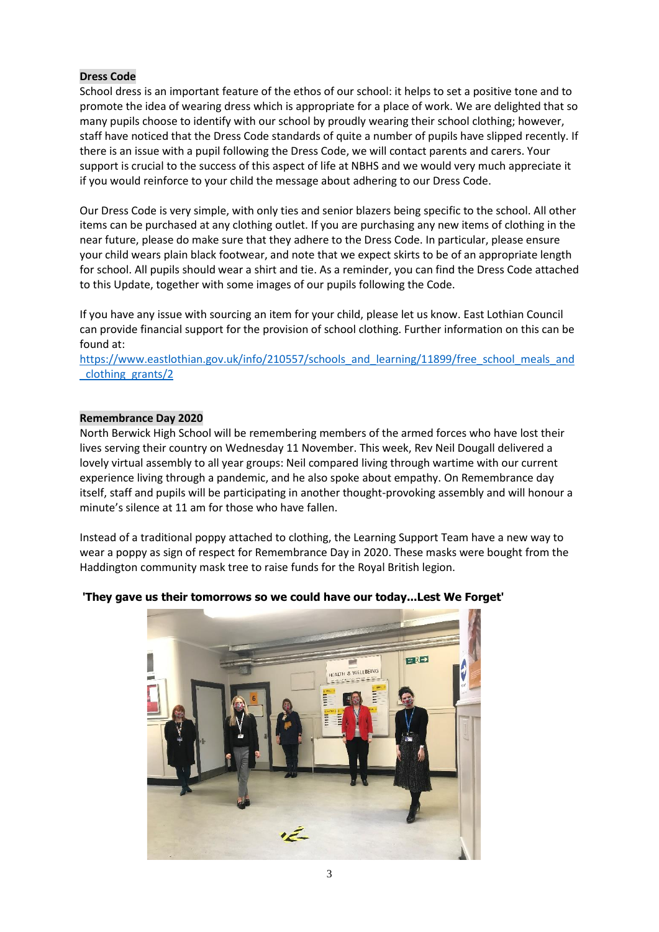# **Dress Code**

School dress is an important feature of the ethos of our school: it helps to set a positive tone and to promote the idea of wearing dress which is appropriate for a place of work. We are delighted that so many pupils choose to identify with our school by proudly wearing their school clothing; however, staff have noticed that the Dress Code standards of quite a number of pupils have slipped recently. If there is an issue with a pupil following the Dress Code, we will contact parents and carers. Your support is crucial to the success of this aspect of life at NBHS and we would very much appreciate it if you would reinforce to your child the message about adhering to our Dress Code.

Our Dress Code is very simple, with only ties and senior blazers being specific to the school. All other items can be purchased at any clothing outlet. If you are purchasing any new items of clothing in the near future, please do make sure that they adhere to the Dress Code. In particular, please ensure your child wears plain black footwear, and note that we expect skirts to be of an appropriate length for school. All pupils should wear a shirt and tie. As a reminder, you can find the Dress Code attached to this Update, together with some images of our pupils following the Code.

If you have any issue with sourcing an item for your child, please let us know. East Lothian Council can provide financial support for the provision of school clothing. Further information on this can be found at:

[https://www.eastlothian.gov.uk/info/210557/schools\\_and\\_learning/11899/free\\_school\\_meals\\_and](https://www.eastlothian.gov.uk/info/210557/schools_and_learning/11899/free_school_meals_and_clothing_grants/2) [\\_clothing\\_grants/2](https://www.eastlothian.gov.uk/info/210557/schools_and_learning/11899/free_school_meals_and_clothing_grants/2)

### **Remembrance Day 2020**

North Berwick High School will be remembering members of the armed forces who have lost their lives serving their country on Wednesday 11 November. This week, Rev Neil Dougall delivered a lovely virtual assembly to all year groups: Neil compared living through wartime with our current experience living through a pandemic, and he also spoke about empathy. On Remembrance day itself, staff and pupils will be participating in another thought-provoking assembly and will honour a minute's silence at 11 am for those who have fallen.

Instead of a traditional poppy attached to clothing, the Learning Support Team have a new way to wear a poppy as sign of respect for Remembrance Day in 2020. These masks were bought from the Haddington community mask tree to raise funds for the Royal British legion.

# **'They gave us their tomorrows so we could have our today...Lest We Forget'**

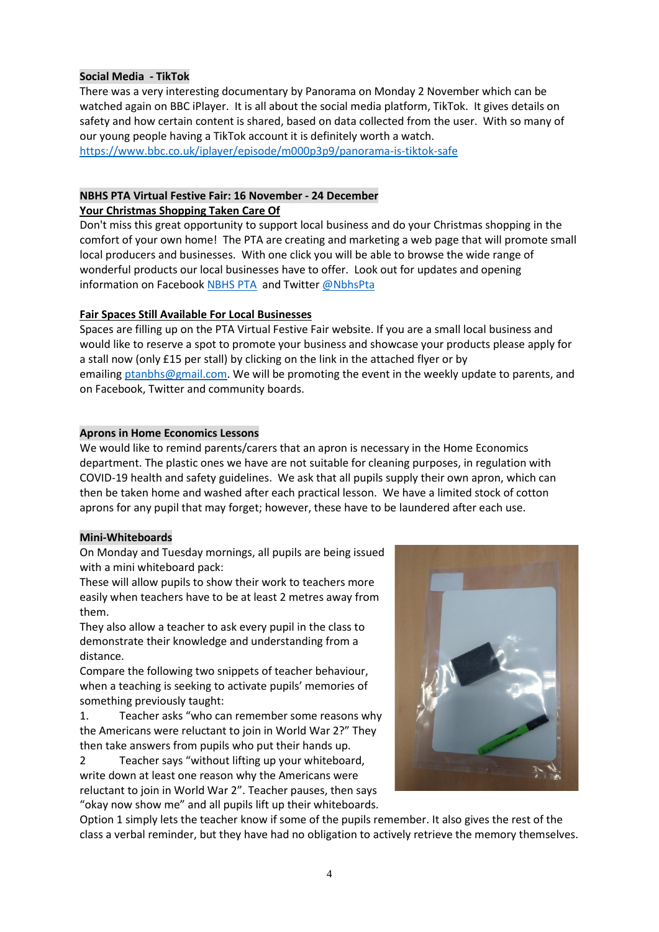### **Social Media - TikTok**

There was a very interesting documentary by Panorama on Monday 2 November which can be watched again on BBC iPlayer. It is all about the social media platform, TikTok. It gives details on safety and how certain content is shared, based on data collected from the user. With so many of our young people having a TikTok account it is definitely worth a watch.

<https://www.bbc.co.uk/iplayer/episode/m000p3p9/panorama-is-tiktok-safe>

# **NBHS PTA Virtual Festive Fair: 16 November - 24 December**

### **Your Christmas Shopping Taken Care Of**

Don't miss this great opportunity to support local business and do your Christmas shopping in the comfort of your own home! The PTA are creating and marketing a web page that will promote small local producers and businesses. With one click you will be able to browse the wide range of wonderful products our local businesses have to offer. Look out for updates and opening information on Facebook [NBHS PTA](https://www.facebook.com/nbhs.pta/?ref=bookmarks) and Twitter [@NbhsPta](https://twitter.com/NbhsPta)

# **Fair Spaces Still Available For Local Businesses**

Spaces are filling up on the PTA Virtual Festive Fair website. If you are a small local business and would like to reserve a spot to promote your business and showcase your products please apply for a stall now (only £15 per stall) by clicking on the link in the attached flyer or by emailing [ptanbhs@gmail.com.](mailto:ptanbhs@gmail.com) We will be promoting the event in the weekly update to parents, and on Facebook, Twitter and community boards.

### **Aprons in Home Economics Lessons**

We would like to remind parents/carers that an apron is necessary in the Home Economics department. The plastic ones we have are not suitable for cleaning purposes, in regulation with COVID-19 health and safety guidelines. We ask that all pupils supply their own apron, which can then be taken home and washed after each practical lesson. We have a limited stock of cotton aprons for any pupil that may forget; however, these have to be laundered after each use.

# **Mini-Whiteboards**

On Monday and Tuesday mornings, all pupils are being issued with a mini whiteboard pack:

These will allow pupils to show their work to teachers more easily when teachers have to be at least 2 metres away from them.

They also allow a teacher to ask every pupil in the class to demonstrate their knowledge and understanding from a distance.

Compare the following two snippets of teacher behaviour, when a teaching is seeking to activate pupils' memories of something previously taught:

1. Teacher asks "who can remember some reasons why the Americans were reluctant to join in World War 2?" They then take answers from pupils who put their hands up.

2 Teacher says "without lifting up your whiteboard, write down at least one reason why the Americans were reluctant to join in World War 2". Teacher pauses, then says "okay now show me" and all pupils lift up their whiteboards.



Option 1 simply lets the teacher know if some of the pupils remember. It also gives the rest of the class a verbal reminder, but they have had no obligation to actively retrieve the memory themselves.